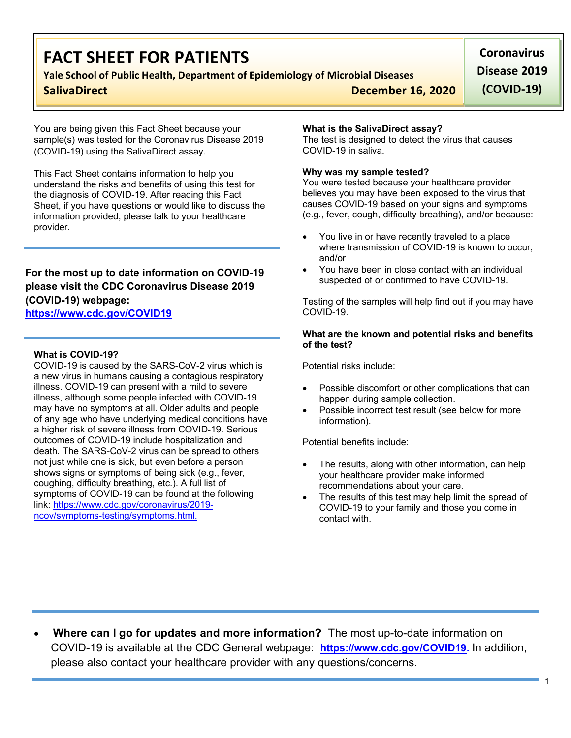# **FACT SHEET FOR PATIENTS**

## **Yale School of Public Health, Department of Epidemiology of Microbial Diseases**

**SalivaDirect December 16, 2020** 

**Coronavirus Disease 2019 (COVID-19)**

You are being given this Fact Sheet because your sample(s) was tested for the Coronavirus Disease 2019 (COVID-19) using the SalivaDirect assay.

This Fact Sheet contains information to help you understand the risks and benefits of using this test for the diagnosis of COVID-19. After reading this Fact Sheet, if you have questions or would like to discuss the information provided, please talk to your healthcare provider.

## **For the most up to date information on COVID-19 please visit the CDC Coronavirus Disease 2019 (COVID-19) webpage:**

## **https://www.cdc.gov/COVID19**

### **What is COVID-19?**

COVID-19 is caused by the SARS-CoV-2 virus which is a new virus in humans causing a contagious respiratory illness. COVID-19 can present with a mild to severe illness, although some people infected with COVID-19 may have no symptoms at all. Older adults and people of any age who have underlying medical conditions have a higher risk of severe illness from COVID-19. Serious outcomes of COVID-19 include hospitalization and death. The SARS-CoV-2 virus can be spread to others not just while one is sick, but even before a person shows signs or symptoms of being sick (e.g., fever, coughing, difficulty breathing, etc.). A full list of symptoms of COVID-19 can be found at the following link: https://www.cdc.gov/coronavirus/2019 ncov/symptoms-testing/symptoms.html.

### **What is the SalivaDirect assay?**

The test is designed to detect the virus that causes COVID-19 in saliva.

### **Why was my sample tested?**

You were tested because your healthcare provider believes you may have been exposed to the virus that causes COVID-19 based on your signs and symptoms (e.g., fever, cough, difficulty breathing), and/or because:

- You live in or have recently traveled to a place where transmission of COVID-19 is known to occur, and/or
- You have been in close contact with an individual suspected of or confirmed to have COVID-19.

Testing of the samples will help find out if you may have COVID-19.

#### **What are the known and potential risks and benefits of the test?**

Potential risks include:

- Possible discomfort or other complications that can happen during sample collection.
- Possible incorrect test result (see below for more information).

Potential benefits include:

- The results, along with other information, can help your healthcare provider make informed recommendations about your care.
- The results of this test may help limit the spread of COVID-19 to your family and those you come in contact with.

• **Where can I go for updates and more information?** The most up-to-date information on COVID-19 is available at the CDC General webpage: **https://www.cdc.gov/COVID19.** In addition, please also contact your healthcare provider with any questions/concerns.